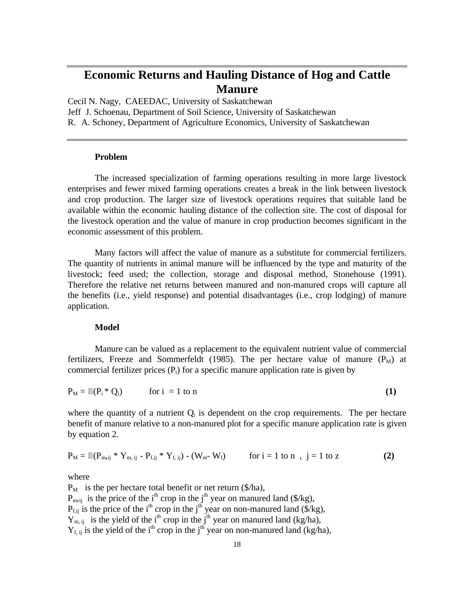# **Economic Returns and Hauling Distance of Hog and Cattle Manure**

Cecil N. Nagy, CAEEDAC, University of Saskatchewan Jeff J. Schoenau, Department of Soil Science, University of Saskatchewan R. A. Schoney, Department of Agriculture Economics, University of Saskatchewan

# **Problem**

The increased specialization of farming operations resulting in more large livestock enterprises and fewer mixed farming operations creates a break in the link between livestock and crop production. The larger size of livestock operations requires that suitable land be available within the economic hauling distance of the collection site. The cost of disposal for the livestock operation and the value of manure in crop production becomes significant in the economic assessment of this problem.

Many factors will affect the value of manure as a substitute for commercial fertilizers. The quantity of nutrients in animal manure will be influenced by the type and maturity of the livestock; feed used; the collection, storage and disposal method, Stonehouse (1991). Therefore the relative net returns between manured and non-manured crops will capture all the benefits (i.e., yield response) and potential disadvantages (i.e., crop lodging) of manure application.

#### **Model**

Manure can be valued as a replacement to the equivalent nutrient value of commercial fertilizers, Freeze and Sommerfeldt (1985). The per hectare value of manure  $(P_M)$  at commercial fertilizer prices  $(P_i)$  for a specific manure application rate is given by

$$
P_M = \mathbb{E}(P_i * Q_i) \qquad \text{for } i = 1 \text{ to } n \tag{1}
$$

where the quantity of a nutrient  $Q_i$  is dependent on the crop requirements. The per hectare benefit of manure relative to a non-manured plot for a specific manure application rate is given by equation 2.

$$
P_M = \mathbb{E}(P_{m \cdot ij} * Y_{m, ij} - P_{f, ij} * Y_{f, ij}) - (W_m - W_f) \quad \text{for } i = 1 \text{ to } n \text{ , } j = 1 \text{ to } z \tag{2}
$$

where

 $P_M$  is the per hectare total benefit or net return (\$/ha),  $P_{m,ij}$  is the price of the i<sup>th</sup> crop in the j<sup>th</sup> year on manured land (\$/kg),  $P_{f,ij}$  is the price of the i<sup>th</sup> crop in the j<sup>th</sup> year on non-manured land (\$/kg),  $Y_{m, ij}$  is the yield of the i<sup>th</sup> crop in the j<sup>th</sup> year on manured land (kg/ha),  $Y_{f, ij}$  is the yield of the i<sup>th</sup> crop in the j<sup>th</sup> year on non-manured land (kg/ha),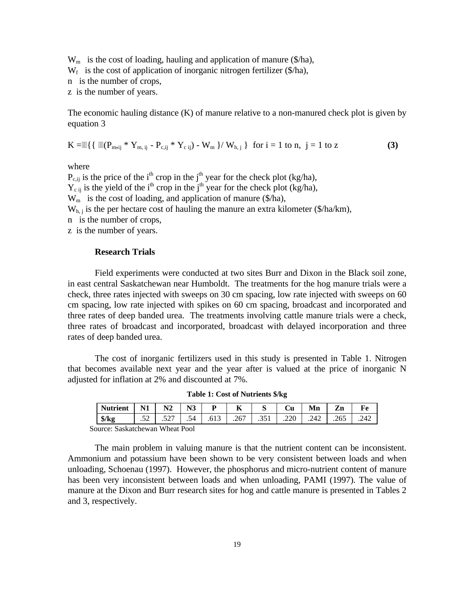$W_m$  is the cost of loading, hauling and application of manure (\$/ha),  $W_f$  is the cost of application of inorganic nitrogen fertilizer (\$/ha), n is the number of crops,

z is the number of years.

The economic hauling distance (K) of manure relative to a non-manured check plot is given by equation 3

$$
K = \mathbb{E}\left\{ \left\{ \mathbb{E}(P_{m,ij} * Y_{m,ij} - P_{c,ij} * Y_{cij}) - W_m \right\} / W_{h,j} \right\} \text{ for } i = 1 \text{ to } n, \ j = 1 \text{ to } z \tag{3}
$$

where

 $P_{c,ij}$  is the price of the i<sup>th</sup> crop in the j<sup>th</sup> year for the check plot (kg/ha),  $Y_{\text{c ii}}$  is the yield of the i<sup>th</sup> crop in the j<sup>th</sup> year for the check plot (kg/ha), Wm is the cost of loading, and application of manure (\$/ha),  $W_{h,j}$  is the per hectare cost of hauling the manure an extra kilometer (\$/ha/km), n is the number of crops,

z is the number of years.

## **Research Trials**

Field experiments were conducted at two sites Burr and Dixon in the Black soil zone, in east central Saskatchewan near Humboldt. The treatments for the hog manure trials were a check, three rates injected with sweeps on 30 cm spacing, low rate injected with sweeps on 60 cm spacing, low rate injected with spikes on 60 cm spacing, broadcast and incorporated and three rates of deep banded urea. The treatments involving cattle manure trials were a check, three rates of broadcast and incorporated, broadcast with delayed incorporation and three rates of deep banded urea.

The cost of inorganic fertilizers used in this study is presented in Table 1. Nitrogen that becomes available next year and the year after is valued at the price of inorganic N adjusted for inflation at 2% and discounted at 7%.

| <b>Nutrient</b> | <b>BT4</b><br>N<br>TAT | N2            | N <sub>3</sub> | D<br>≖. | $ -$<br>V | ມ    | ∼<br>Сu | Mn   | -<br>Zn | Fe   |
|-----------------|------------------------|---------------|----------------|---------|-----------|------|---------|------|---------|------|
| $\frac{1}{2}$   | ΕΛ<br>$\cdot$          | 527<br>، سەر. | .54            | .613    | .267      | .351 | .220    | .242 | .265    | .242 |

**Table 1: Cost of Nutrients \$/kg**

Source: Saskatchewan Wheat Pool

The main problem in valuing manure is that the nutrient content can be inconsistent. Ammonium and potassium have been shown to be very consistent between loads and when unloading, Schoenau (1997). However, the phosphorus and micro-nutrient content of manure has been very inconsistent between loads and when unloading, PAMI (1997). The value of manure at the Dixon and Burr research sites for hog and cattle manure is presented in Tables 2 and 3, respectively.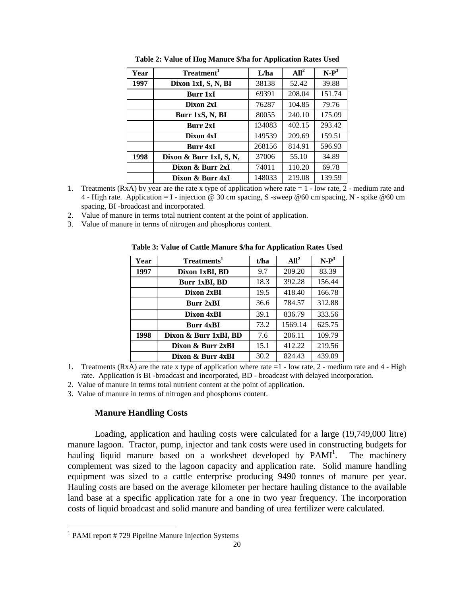| Year | Treatment <sup>1</sup>     | L/ha   | All <sup>2</sup> | $N-P^3$ |
|------|----------------------------|--------|------------------|---------|
| 1997 | Dixon 1xI, S, N, BI        | 38138  | 52.42            | 39.88   |
|      | <b>Burr 1xI</b>            | 69391  | 208.04           | 151.74  |
|      | Dixon 2xI                  | 76287  | 104.85           | 79.76   |
|      | Burr 1xS, N, BI            | 80055  | 240.10           | 175.09  |
|      | Burr 2xI                   | 134083 | 402.15           | 293.42  |
|      | Dixon 4xI                  | 149539 | 209.69           | 159.51  |
|      | Burr 4xI                   | 268156 | 814.91           | 596.93  |
| 1998 | Dixon & Burr 1xI, $S, N$ , | 37006  | 55.10            | 34.89   |
|      | Dixon & Burr 2xI           | 74011  | 110.20           | 69.78   |
|      | Dixon & Burr 4xI           | 148033 | 219.08           | 139.59  |

**Table 2: Value of Hog Manure \$/ha for Application Rates Used**

- 1. Treatments (RxA) by year are the rate x type of application where rate  $= 1$  low rate, 2 medium rate and 4 - High rate. Application = I - injection @ 30 cm spacing, S -sweep @60 cm spacing, N - spike @60 cm spacing, BI -broadcast and incorporated.
- 2. Value of manure in terms total nutrient content at the point of application.
- 3. Value of manure in terms of nitrogen and phosphorus content.

| Year | Treatments <sup>1</sup> | t/ha | All <sup>2</sup> | $N-P^3$ |
|------|-------------------------|------|------------------|---------|
| 1997 | Dixon 1xBI, BD          | 9.7  | 209.20           | 83.39   |
|      | Burr 1xBI, BD           | 18.3 | 392.28           | 156.44  |
|      | Dixon 2xBI              | 19.5 | 418.40           | 166.78  |
|      | Burr 2xBI               | 36.6 | 784.57           | 312.88  |
|      | Dixon 4xBI              | 39.1 | 836.79           | 333.56  |
|      | <b>Burr 4xBI</b>        | 73.2 | 1569.14          | 625.75  |
| 1998 | Dixon & Burr 1xBI, BD   | 7.6  | 206.11           | 109.79  |
|      | Dixon & Burr 2xBI       | 15.1 | 412.22           | 219.56  |
|      | Dixon & Burr 4xBI       | 30.2 | 824.43           | 439.09  |

# **Table 3: Value of Cattle Manure \$/ha for Application Rates Used**

- 1. Treatments (RxA) are the rate x type of application where rate =1 low rate, 2 medium rate and 4 High rate. Application is BI -broadcast and incorporated, BD - broadcast with delayed incorporation.
- 2. Value of manure in terms total nutrient content at the point of application.
- 3. Value of manure in terms of nitrogen and phosphorus content.

### **Manure Handling Costs**

Loading, application and hauling costs were calculated for a large (19,749,000 litre) manure lagoon. Tractor, pump, injector and tank costs were used in constructing budgets for hauling liquid manure based on a worksheet developed by  $PAMI<sup>1</sup>$ . The machinery complement was sized to the lagoon capacity and application rate. Solid manure handling equipment was sized to a cattle enterprise producing 9490 tonnes of manure per year. Hauling costs are based on the average kilometer per hectare hauling distance to the available land base at a specific application rate for a one in two year frequency. The incorporation costs of liquid broadcast and solid manure and banding of urea fertilizer were calculated.

 1 PAMI report # 729 Pipeline Manure Injection Systems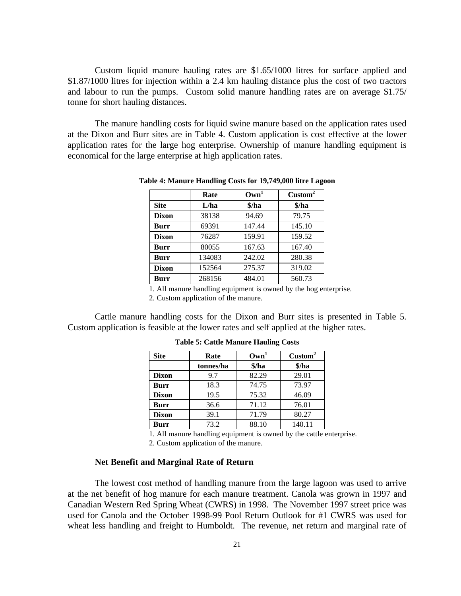Custom liquid manure hauling rates are \$1.65/1000 litres for surface applied and \$1.87/1000 litres for injection within a 2.4 km hauling distance plus the cost of two tractors and labour to run the pumps. Custom solid manure handling rates are on average \$1.75/ tonne for short hauling distances.

The manure handling costs for liquid swine manure based on the application rates used at the Dixon and Burr sites are in Table 4. Custom application is cost effective at the lower application rates for the large hog enterprise. Ownership of manure handling equipment is economical for the large enterprise at high application rates.

|              | Rate   | Own <sup>1</sup> | $\text{Custom}^2$ |
|--------------|--------|------------------|-------------------|
| <b>Site</b>  | L/ha   | \$/ha            | \$/ha             |
| <b>Dixon</b> | 38138  | 94.69            | 79.75             |
| Burr         | 69391  | 147.44           | 145.10            |
| <b>Dixon</b> | 76287  | 159.91           | 159.52            |
| Burr         | 80055  | 167.63           | 167.40            |
| Burr         | 134083 | 242.02           | 280.38            |
| <b>Dixon</b> | 152564 | 275.37           | 319.02            |
| Burr         | 268156 | 484.01           | 560.73            |

**Table 4: Manure Handling Costs for 19,749,000 litre Lagoon**

1. All manure handling equipment is owned by the hog enterprise. 2. Custom application of the manure.

Cattle manure handling costs for the Dixon and Burr sites is presented in Table 5. Custom application is feasible at the lower rates and self applied at the higher rates.

| <b>Site</b>  | Rate      | Own <sup>1</sup> | $\text{Custom}^2$ |
|--------------|-----------|------------------|-------------------|
|              | tonnes/ha | \$/ha            | \$/ha             |
| <b>Dixon</b> | 9.7       | 82.29            | 29.01             |
| Burr         | 18.3      | 74.75            | 73.97             |
| <b>Dixon</b> | 19.5      | 75.32            | 46.09             |
| Burr         | 36.6      | 71.12            | 76.01             |
| <b>Dixon</b> | 39.1      | 71.79            | 80.27             |
| Burr         | 73.2      | 88.10            | 140.11            |

**Table 5: Cattle Manure Hauling Costs**

1. All manure handling equipment is owned by the cattle enterprise.

2. Custom application of the manure.

### **Net Benefit and Marginal Rate of Return**

The lowest cost method of handling manure from the large lagoon was used to arrive at the net benefit of hog manure for each manure treatment. Canola was grown in 1997 and Canadian Western Red Spring Wheat (CWRS) in 1998. The November 1997 street price was used for Canola and the October 1998-99 Pool Return Outlook for #1 CWRS was used for wheat less handling and freight to Humboldt. The revenue, net return and marginal rate of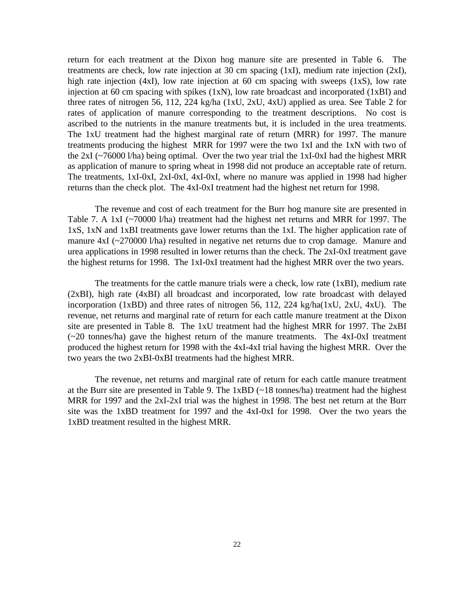return for each treatment at the Dixon hog manure site are presented in Table 6. The treatments are check, low rate injection at 30 cm spacing (1xI), medium rate injection (2xI), high rate injection (4xI), low rate injection at 60 cm spacing with sweeps (1xS), low rate injection at 60 cm spacing with spikes (1xN), low rate broadcast and incorporated (1xBI) and three rates of nitrogen 56, 112, 224 kg/ha (1xU, 2xU, 4xU) applied as urea. See Table 2 for rates of application of manure corresponding to the treatment descriptions. No cost is ascribed to the nutrients in the manure treatments but, it is included in the urea treatments. The 1xU treatment had the highest marginal rate of return (MRR) for 1997. The manure treatments producing the highest MRR for 1997 were the two 1xI and the 1xN with two of the 2xI (~76000 l/ha) being optimal. Over the two year trial the 1xI-0xI had the highest MRR as application of manure to spring wheat in 1998 did not produce an acceptable rate of return. The treatments, 1xI-0xI, 2xI-0xI, 4xI-0xI, where no manure was applied in 1998 had higher returns than the check plot. The 4xI-0xI treatment had the highest net return for 1998.

The revenue and cost of each treatment for the Burr hog manure site are presented in Table 7. A 1xI (~70000 l/ha) treatment had the highest net returns and MRR for 1997. The 1xS, 1xN and 1xBI treatments gave lower returns than the 1xI. The higher application rate of manure 4xI (~270000 l/ha) resulted in negative net returns due to crop damage. Manure and urea applications in 1998 resulted in lower returns than the check. The 2xI-0xI treatment gave the highest returns for 1998. The 1xI-0xI treatment had the highest MRR over the two years.

The treatments for the cattle manure trials were a check, low rate (1xBI), medium rate (2xBI), high rate (4xBI) all broadcast and incorporated, low rate broadcast with delayed incorporation (1xBD) and three rates of nitrogen 56, 112, 224 kg/ha(1xU, 2xU, 4xU). The revenue, net returns and marginal rate of return for each cattle manure treatment at the Dixon site are presented in Table 8. The 1xU treatment had the highest MRR for 1997. The 2xBI (~20 tonnes/ha) gave the highest return of the manure treatments. The 4xI-0xI treatment produced the highest return for 1998 with the 4xI-4xI trial having the highest MRR. Over the two years the two 2xBI-0xBI treatments had the highest MRR.

The revenue, net returns and marginal rate of return for each cattle manure treatment at the Burr site are presented in Table 9. The 1xBD (~18 tonnes/ha) treatment had the highest MRR for 1997 and the 2xI-2xI trial was the highest in 1998. The best net return at the Burr site was the 1xBD treatment for 1997 and the 4xI-0xI for 1998. Over the two years the 1xBD treatment resulted in the highest MRR.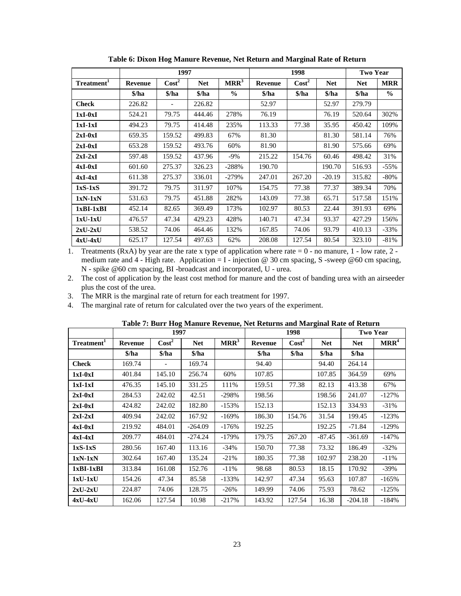|                        |                | 1997              |            |                  |                | 1998            |            | <b>Two Year</b> |               |
|------------------------|----------------|-------------------|------------|------------------|----------------|-----------------|------------|-----------------|---------------|
| Treatment <sup>1</sup> | <b>Revenue</b> | Cost <sup>2</sup> | <b>Net</b> | MRR <sup>3</sup> | <b>Revenue</b> | $\text{Cost}^2$ | <b>Net</b> | <b>Net</b>      | <b>MRR</b>    |
|                        | \$/ha          | \$/ha             | \$/ha      | $\frac{0}{0}$    | \$/ha          | \$/ha           | \$/ha      | \$/ha           | $\frac{0}{0}$ |
| <b>Check</b>           | 226.82         |                   | 226.82     |                  | 52.97          |                 | 52.97      | 279.79          |               |
| $1xI-0xI$              | 524.21         | 79.75             | 444.46     | 278%             | 76.19          |                 | 76.19      | 520.64          | 302%          |
| $1xI-1xI$              | 494.23         | 79.75             | 414.48     | 235%             | 113.33         | 77.38           | 35.95      | 450.42          | 109%          |
| $2xI-0xI$              | 659.35         | 159.52            | 499.83     | 67%              | 81.30          |                 | 81.30      | 581.14          | 76%           |
| $2xI-0xI$              | 653.28         | 159.52            | 493.76     | 60%              | 81.90          |                 | 81.90      | 575.66          | 69%           |
| $2xI-2xI$              | 597.48         | 159.52            | 437.96     | $-9\%$           | 215.22         | 154.76          | 60.46      | 498.42          | 31%           |
| $4xI-0xI$              | 601.60         | 275.37            | 326.23     | $-288%$          | 190.70         |                 | 190.70     | 516.93          | $-55%$        |
| $4xI-4xI$              | 611.38         | 275.37            | 336.01     | $-279%$          | 247.01         | 267.20          | $-20.19$   | 315.82          | $-80%$        |
| $1xS-1xS$              | 391.72         | 79.75             | 311.97     | 107%             | 154.75         | 77.38           | 77.37      | 389.34          | 70%           |
| $1xN-1xN$              | 531.63         | 79.75             | 451.88     | 282%             | 143.09         | 77.38           | 65.71      | 517.58          | 151%          |
| $1xBI-1xBI$            | 452.14         | 82.65             | 369.49     | 173%             | 102.97         | 80.53           | 22.44      | 391.93          | 69%           |
| $1xU-1xU$              | 476.57         | 47.34             | 429.23     | 428%             | 140.71         | 47.34           | 93.37      | 427.29          | 156%          |
| $2xU-2xU$              | 538.52         | 74.06             | 464.46     | 132%             | 167.85         | 74.06           | 93.79      | 410.13          | $-33%$        |
| $4xU-4xU$              | 625.17         | 127.54            | 497.63     | 62%              | 208.08         | 127.54          | 80.54      | 323.10          | $-81%$        |

**Table 6: Dixon Hog Manure Revenue, Net Return and Marginal Rate of Return**

1. Treatments (RxA) by year are the rate x type of application where rate  $= 0$  - no manure, 1 - low rate, 2 medium rate and 4 - High rate. Application = I - injection @ 30 cm spacing, S -sweep @ 60 cm spacing, N - spike @60 cm spacing, BI -broadcast and incorporated, U - urea.

2. The cost of application by the least cost method for manure and the cost of banding urea with an airseeder plus the cost of the urea.

3. The MRR is the marginal rate of return for each treatment for 1997.

4. The marginal rate of return for calculated over the two years of the experiment.

|                        |                | 1997                                  |                                       |                  |                | 1998              |                                       |                                       | <b>Two Year</b>  |
|------------------------|----------------|---------------------------------------|---------------------------------------|------------------|----------------|-------------------|---------------------------------------|---------------------------------------|------------------|
| Treatment <sup>1</sup> | <b>Revenue</b> | $\text{Cost}^2$                       | <b>Net</b>                            | MRR <sup>3</sup> | <b>Revenue</b> | Cost <sup>2</sup> | <b>Net</b>                            | <b>Net</b>                            | MRR <sup>4</sup> |
|                        | \$/ha          | $\frac{\sinh(\theta)}{\sinh(\theta)}$ | $\frac{\sinh(\theta)}{\sinh(\theta)}$ |                  | \$/ha          | \$/ha             | $\frac{\sinh(\theta)}{\sinh(\theta)}$ | $\frac{\sinh(\theta)}{\sinh(\theta)}$ |                  |
| <b>Check</b>           | 169.74         |                                       | 169.74                                |                  | 94.40          |                   | 94.40                                 | 264.14                                |                  |
| $1xI-0xI$              | 401.84         | 145.10                                | 256.74                                | 60%              | 107.85         |                   | 107.85                                | 364.59                                | 69%              |
| $1xI-1xI$              | 476.35         | 145.10                                | 331.25                                | 111%             | 159.51         | 77.38             | 82.13                                 | 413.38                                | 67%              |
| $2xI-0xI$              | 284.53         | 242.02                                | 42.51                                 | $-298%$          | 198.56         |                   | 198.56                                | 241.07                                | $-127%$          |
| $2xI-0xI$              | 424.82         | 242.02                                | 182.80                                | $-153%$          | 152.13         |                   | 152.13                                | 334.93                                | $-31%$           |
| $2xI-2xI$              | 409.94         | 242.02                                | 167.92                                | $-169%$          | 186.30         | 154.76            | 31.54                                 | 199.45                                | $-123%$          |
| $4xI-0xI$              | 219.92         | 484.01                                | $-264.09$                             | $-176%$          | 192.25         |                   | 192.25                                | $-71.84$                              | $-129%$          |
| $4xI-4xI$              | 209.77         | 484.01                                | $-274.24$                             | $-179%$          | 179.75         | 267.20            | $-87.45$                              | $-361.69$                             | $-147%$          |
| $1xS-1xS$              | 280.56         | 167.40                                | 113.16                                | $-34\%$          | 150.70         | 77.38             | 73.32                                 | 186.49                                | $-32\%$          |
| $1xN-1xN$              | 302.64         | 167.40                                | 135.24                                | $-21%$           | 180.35         | 77.38             | 102.97                                | 238.20                                | $-11\%$          |
| $1xBI-1xBI$            | 313.84         | 161.08                                | 152.76                                | $-11%$           | 98.68          | 80.53             | 18.15                                 | 170.92                                | $-39%$           |
| $1xU-1xU$              | 154.26         | 47.34                                 | 85.58                                 | $-133%$          | 142.97         | 47.34             | 95.63                                 | 107.87                                | $-165%$          |
| $2xU-2xU$              | 224.87         | 74.06                                 | 128.75                                | $-26%$           | 149.99         | 74.06             | 75.93                                 | 78.62                                 | $-125%$          |
| $4xU-4xU$              | 162.06         | 127.54                                | 10.98                                 | $-217%$          | 143.92         | 127.54            | 16.38                                 | $-204.18$                             | $-184%$          |

**Table 7: Burr Hog Manure Revenue, Net Returns and Marginal Rate of Return**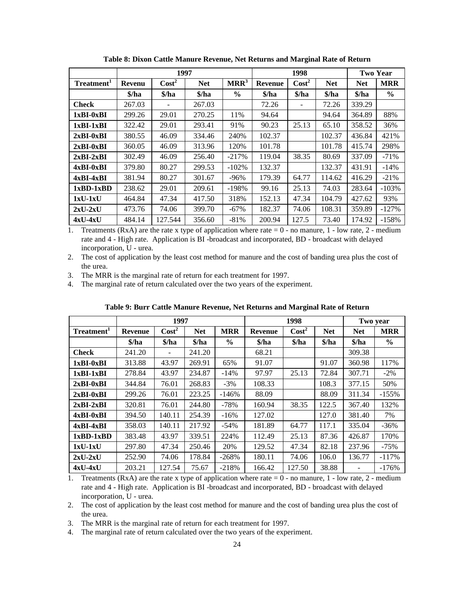|                        |               | 1997                                  |            |                  |                                       | 1998                                  |            | <b>Two Year</b> |            |
|------------------------|---------------|---------------------------------------|------------|------------------|---------------------------------------|---------------------------------------|------------|-----------------|------------|
| Treatment <sup>1</sup> | <b>Revenu</b> | $\text{Cost}^2$                       | <b>Net</b> | MRR <sup>3</sup> | <b>Revenue</b>                        | $\text{Cost}^2$                       | <b>Net</b> | <b>Net</b>      | <b>MRR</b> |
|                        | \$/ha         | $\frac{\sinh(\theta)}{\sinh(\theta)}$ | \$/ha      | $\frac{0}{0}$    | $\frac{\sinh(\theta)}{\sinh(\theta)}$ | $\frac{\sinh(\theta)}{\sinh(\theta)}$ | \$/ha      | \$/ha           | $\%$       |
| <b>Check</b>           | 267.03        | ۰                                     | 267.03     |                  | 72.26                                 |                                       | 72.26      | 339.29          |            |
| $1xBI-0xBI$            | 299.26        | 29.01                                 | 270.25     | 11%              | 94.64                                 |                                       | 94.64      | 364.89          | 88%        |
| $1xBI-1xBI$            | 322.42        | 29.01                                 | 293.41     | 91%              | 90.23                                 | 25.13                                 | 65.10      | 358.52          | 36%        |
| $2xBI-0xBI$            | 380.55        | 46.09                                 | 334.46     | 240%             | 102.37                                |                                       | 102.37     | 436.84          | 421%       |
| $2xBI-0xBI$            | 360.05        | 46.09                                 | 313.96     | 120%             | 101.78                                |                                       | 101.78     | 415.74          | 298%       |
| $2xBI-2xBI$            | 302.49        | 46.09                                 | 256.40     | $-217%$          | 119.04                                | 38.35                                 | 80.69      | 337.09          | $-71%$     |
| $4xBI-0xBI$            | 379.80        | 80.27                                 | 299.53     | $-102\%$         | 132.37                                |                                       | 132.37     | 431.91          | $-14\%$    |
| $4xBI-4xBI$            | 381.94        | 80.27                                 | 301.67     | $-96%$           | 179.39                                | 64.77                                 | 114.62     | 416.29          | $-21%$     |
| $1xBD-1xBD$            | 238.62        | 29.01                                 | 209.61     | $-198%$          | 99.16                                 | 25.13                                 | 74.03      | 283.64          | $-103%$    |
| $1xU-1xU$              | 464.84        | 47.34                                 | 417.50     | 318%             | 152.13                                | 47.34                                 | 104.79     | 427.62          | 93%        |
| $2xU-2xU$              | 473.76        | 74.06                                 | 399.70     | $-67\%$          | 182.37                                | 74.06                                 | 108.31     | 359.89          | $-127%$    |
| $4xU-4xU$              | 484.14        | 127.544                               | 356.60     | $-81\%$          | 200.94                                | 127.5                                 | 73.40      | 174.92          | $-158%$    |

**Table 8: Dixon Cattle Manure Revenue, Net Returns and Marginal Rate of Return**

1. Treatments (RxA) are the rate x type of application where rate  $= 0$  - no manure, 1 - low rate, 2 - medium rate and 4 - High rate. Application is BI -broadcast and incorporated, BD - broadcast with delayed incorporation, U - urea.

2. The cost of application by the least cost method for manure and the cost of banding urea plus the cost of the urea.

3. The MRR is the marginal rate of return for each treatment for 1997.

4. The marginal rate of return calculated over the two years of the experiment.

|                        |                | 1997            |            |            |                | 1998            |                                       | Two year   |            |
|------------------------|----------------|-----------------|------------|------------|----------------|-----------------|---------------------------------------|------------|------------|
| Treatment <sup>1</sup> | <b>Revenue</b> | $\text{Cost}^2$ | <b>Net</b> | <b>MRR</b> | <b>Revenue</b> | $\text{Cost}^2$ | <b>Net</b>                            | <b>Net</b> | <b>MRR</b> |
|                        | \$/ha          | \$/ha           | \$/ha      | $\%$       | \$/ha          | \$/ha           | $\frac{\sinh(\theta)}{\sinh(\theta)}$ | \$/ha      | $\%$       |
| <b>Check</b>           | 241.20         | ۰               | 241.20     |            | 68.21          |                 |                                       | 309.38     |            |
| $1xBI-0xBI$            | 313.88         | 43.97           | 269.91     | 65%        | 91.07          |                 | 91.07                                 | 360.98     | 117%       |
| $1xBI-1xBI$            | 278.84         | 43.97           | 234.87     | $-14%$     | 97.97          | 25.13           | 72.84                                 | 307.71     | $-2\%$     |
| $2xBI-0xBI$            | 344.84         | 76.01           | 268.83     | $-3%$      | 108.33         |                 | 108.3                                 | 377.15     | 50%        |
| $2xBI-0xBI$            | 299.26         | 76.01           | 223.25     | $-146%$    | 88.09          |                 | 88.09                                 | 311.34     | $-155%$    |
| $2xBI-2xBI$            | 320.81         | 76.01           | 244.80     | $-78%$     | 160.94         | 38.35           | 122.5                                 | 367.40     | 132%       |
| $4xBI-0xBI$            | 394.50         | 140.11          | 254.39     | $-16%$     | 127.02         |                 | 127.0                                 | 381.40     | 7%         |
| $4xBI-4xBI$            | 358.03         | 140.11          | 217.92     | $-54%$     | 181.89         | 64.77           | 117.1                                 | 335.04     | $-36%$     |
| $1xBD-1xBD$            | 383.48         | 43.97           | 339.51     | 224%       | 112.49         | 25.13           | 87.36                                 | 426.87     | 170%       |
| $1xU-1xU$              | 297.80         | 47.34           | 250.46     | 20%        | 129.52         | 47.34           | 82.18                                 | 237.96     | $-75%$     |
| $2xU-2xU$              | 252.90         | 74.06           | 178.84     | $-268%$    | 180.11         | 74.06           | 106.0                                 | 136.77     | $-117%$    |
| $4xU-4xU$              | 203.21         | 127.54          | 75.67      | $-218%$    | 166.42         | 127.50          | 38.88                                 |            | $-176%$    |

**Table 9: Burr Cattle Manure Revenue, Net Returns and Marginal Rate of Return**

1. Treatments (RxA) are the rate x type of application where rate  $= 0$  - no manure, 1 - low rate, 2 - medium rate and 4 - High rate. Application is BI -broadcast and incorporated, BD - broadcast with delayed incorporation, U - urea.

2. The cost of application by the least cost method for manure and the cost of banding urea plus the cost of the urea.

3. The MRR is the marginal rate of return for each treatment for 1997.

4. The marginal rate of return calculated over the two years of the experiment.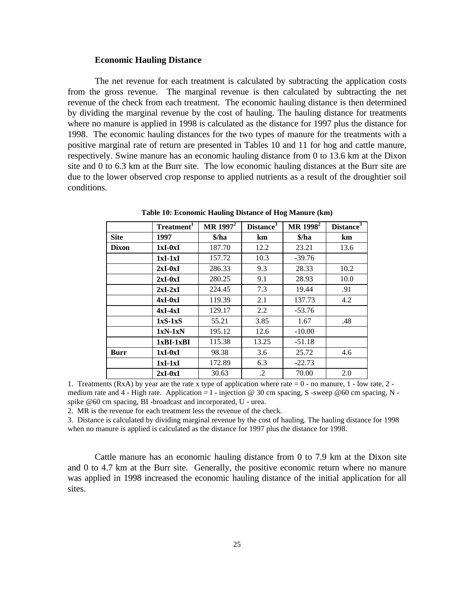#### **Economic Hauling Distance**

The net revenue for each treatment is calculated by subtracting the application costs from the gross revenue. The marginal revenue is then calculated by subtracting the net revenue of the check from each treatment. The economic hauling distance is then determined by dividing the marginal revenue by the cost of hauling. The hauling distance for treatments where no manure is applied in 1998 is calculated as the distance for 1997 plus the distance for 1998. The economic hauling distances for the two types of manure for the treatments with a positive marginal rate of return are presented in Tables 10 and 11 for hog and cattle manure, respectively. Swine manure has an economic hauling distance from 0 to 13.6 km at the Dixon site and 0 to 6.3 km at the Burr site. The low economic hauling distances at the Burr site are due to the lower observed crop response to applied nutrients as a result of the droughtier soil conditions.

|              | Treatment <sup>1</sup> | $MR$ 1997 <sup>2</sup> | Distance <sup>3</sup> | MR 1998 <sup>2</sup> | Distance <sup>3</sup> |
|--------------|------------------------|------------------------|-----------------------|----------------------|-----------------------|
| <b>Site</b>  | 1997                   | $\delta / ha$          | km                    | \$/ha                | km                    |
| <b>Dixon</b> | $1xI-0xI$              | 187.70                 | 12.2                  | 23.21                | 13.6                  |
|              | $1xI-1xI$              | 157.72                 | 10.3                  | $-39.76$             |                       |
|              | $2xI-0xI$              | 286.33                 | 9.3                   | 28.33                | 10.2                  |
|              | $2xI-0xI$              | 280.25                 | 9.1                   | 28.93                | 10.0                  |
|              | $2xI-2xI$              | 224.45                 | 7.3                   | 19.44                | .91                   |
|              | $4xI-0xI$              | 119.39                 | 2.1                   | 137.73               | 4.2                   |
|              | $4xI-4xI$              | 129.17                 | 2.2                   | $-53.76$             |                       |
|              | $1xS-1xS$              | 55.21                  | 3.85                  | 1.67                 | .48                   |
|              | $1xN-1xN$              | 195.12                 | 12.6                  | $-10.00$             |                       |
|              | $1xBI-1xBI$            | 115.38                 | 13.25                 | $-51.18$             |                       |
| Burr         | $1xI-0xI$              | 98.38                  | 3.6                   | 25.72                | 4.6                   |
|              | $1xI-1xI$              | 172.89                 | 6.3                   | $-22.73$             |                       |
|              | $2xI-0xI$              | 30.63                  | .2                    | 70.00                | 2.0                   |

**Table 10: Economic Hauling Distance of Hog Manure (km)**

1. Treatments (RxA) by year are the rate x type of application where rate  $= 0$  - no manure, 1 - low rate, 2 medium rate and 4 - High rate. Application  $= I$  - injection @ 30 cm spacing, S -sweep @60 cm spacing, N spike @60 cm spacing, BI -broadcast and incorporated, U - urea.

2. MR is the revenue for each treatment less the revenue of the check.

3. Distance is calculated by dividing marginal revenue by the cost of hauling. The hauling distance for 1998 when no manure is applied is calculated as the distance for 1997 plus the distance for 1998.

Cattle manure has an economic hauling distance from 0 to 7.9 km at the Dixon site and 0 to 4.7 km at the Burr site. Generally, the positive economic return where no manure was applied in 1998 increased the economic hauling distance of the initial application for all sites.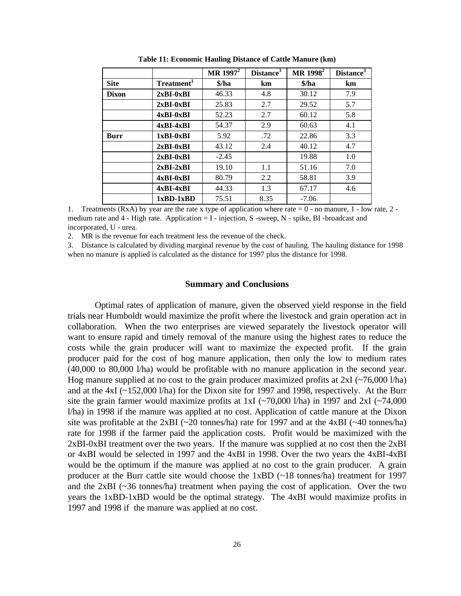|              |                        | $MR$ 1997 <sup>2</sup> | Distance <sup>3</sup> | MR 1998 <sup>2</sup>                  | Distance <sup>3</sup> |
|--------------|------------------------|------------------------|-----------------------|---------------------------------------|-----------------------|
| <b>Site</b>  | Treatment <sup>1</sup> | \$/ha                  | km                    | $\frac{\sinh(\theta)}{\sinh(\theta)}$ | km                    |
| <b>Dixon</b> | $2xBI-0xBI$            | 46.33                  | 4.8                   | 30.12                                 | 7.9                   |
|              | $2xBI-0xBI$            | 25.83                  | 2.7                   | 29.52                                 | 5.7                   |
|              | $4xBI-0xBI$            | 52.23                  | 2.7                   | 60.12                                 | 5.8                   |
|              | $4xBI-4xBI$            | 54.37                  | 2.9                   | 60.63                                 | 4.1                   |
| <b>Burr</b>  | $1xBI-0xBI$            | 5.92                   | .72                   | 22.86                                 | 3.3                   |
|              | $2xBI-0xBI$            | 43.12                  | 2.4                   | 40.12                                 | 4.7                   |
|              | $2xBI-0xBI$            | $-2.45$                |                       | 19.88                                 | 1.0                   |
|              | $2xBI-2xBI$            | 19.10                  | 1.1                   | 51.16                                 | 7.0                   |
|              | $4xBI-0xBI$            | 80.79                  | 2.2                   | 58.81                                 | 3.9                   |
|              | $4xBI-4xBI$            | 44.33                  | 1.3                   | 67.17                                 | 4.6                   |
|              | $1xBD-1xBD$            | 75.51                  | 8.35                  | $-7.06$                               |                       |

**Table 11: Economic Hauling Distance of Cattle Manure (km)**

1. Treatments (RxA) by year are the rate x type of application where rate  $= 0$  - no manure, 1 - low rate, 2 medium rate and  $4$  - High rate. Application  $=$  I - injection, S -sweep, N - spike, BI -broadcast and incorporated, U - urea.

2. MR is the revenue for each treatment less the revenue of the check.

3. Distance is calculated by dividing marginal revenue by the cost of hauling. The hauling distance for 1998 when no manure is applied is calculated as the distance for 1997 plus the distance for 1998.

#### **Summary and Conclusions**

Optimal rates of application of manure, given the observed yield response in the field trials near Humboldt would maximize the profit where the livestock and grain operation act in collaboration. When the two enterprises are viewed separately the livestock operator will want to ensure rapid and timely removal of the manure using the highest rates to reduce the costs while the grain producer will want to maximize the expected profit. If the grain producer paid for the cost of hog manure application, then only the low to medium rates (40,000 to 80,000 l/ha) would be profitable with no manure application in the second year. Hog manure supplied at no cost to the grain producer maximized profits at  $2xI$  ( $\sim$ 76,000 l/ha) and at the 4xI (~152,000 l/ha) for the Dixon site for 1997 and 1998, respectively. At the Burr site the grain farmer would maximize profits at  $1xI$  ( $\sim$ 70,000 l/ha) in 1997 and  $2xI$  ( $\sim$ 74,000 l/ha) in 1998 if the manure was applied at no cost. Application of cattle manure at the Dixon site was profitable at the  $2xBI$  ( $\sim$ 20 tonnes/ha) rate for 1997 and at the  $4xBI$  ( $\sim$ 40 tonnes/ha) rate for 1998 if the farmer paid the application costs. Profit would be maximized with the 2xBI-0xBI treatment over the two years. If the manure was supplied at no cost then the 2xBI or 4xBI would be selected in 1997 and the 4xBI in 1998. Over the two years the 4xBI-4xBI would be the optimum if the manure was applied at no cost to the grain producer. A grain producer at the Burr cattle site would choose the 1xBD (~18 tonnes/ha) treatment for 1997 and the  $2xBI$  ( $\sim$ 36 tonnes/ha) treatment when paying the cost of application. Over the two years the 1xBD-1xBD would be the optimal strategy. The 4xBI would maximize profits in 1997 and 1998 if the manure was applied at no cost.